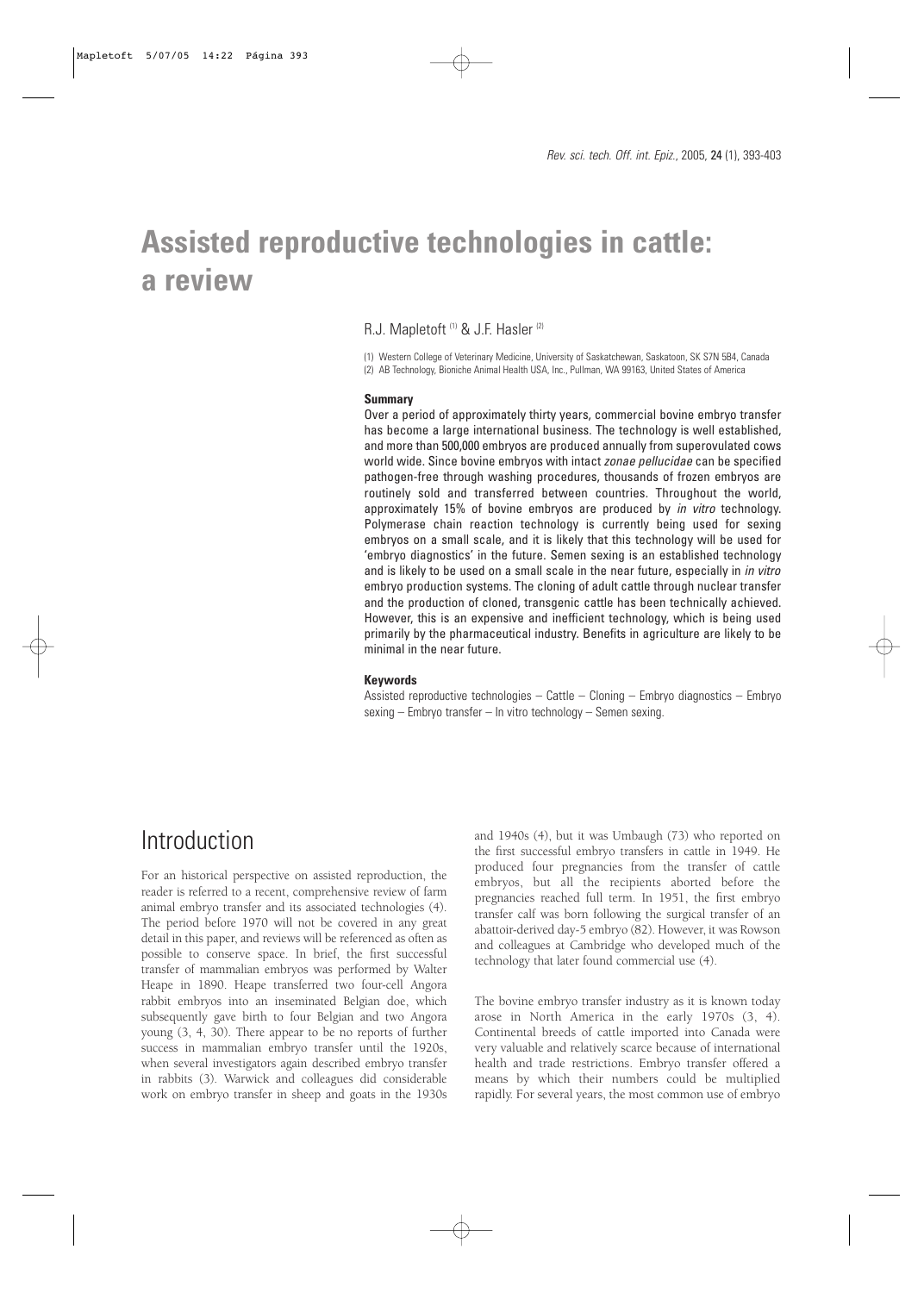# **Assisted reproductive technologies in cattle: a review**

R.J. Mapletoft<sup>(1)</sup> & J.F. Hasler<sup>(2)</sup>

(1) Western College of Veterinary Medicine, University of Saskatchewan, Saskatoon, SK S7N 5B4, Canada (2) AB Technology, Bioniche Animal Health USA, Inc., Pullman, WA 99163, United States of America

#### **Summary**

Over a period of approximately thirty years, commercial bovine embryo transfer has become a large international business. The technology is well established, and more than 500,000 embryos are produced annually from superovulated cows world wide. Since bovine embryos with intact zonae pellucidae can be specified pathogen-free through washing procedures, thousands of frozen embryos are routinely sold and transferred between countries. Throughout the world, approximately 15% of bovine embryos are produced by in vitro technology. Polymerase chain reaction technology is currently being used for sexing embryos on a small scale, and it is likely that this technology will be used for 'embryo diagnostics' in the future. Semen sexing is an established technology and is likely to be used on a small scale in the near future, especially in in vitro embryo production systems. The cloning of adult cattle through nuclear transfer and the production of cloned, transgenic cattle has been technically achieved. However, this is an expensive and inefficient technology, which is being used primarily by the pharmaceutical industry. Benefits in agriculture are likely to be minimal in the near future.

#### **Keywords**

Assisted reproductive technologies – Cattle – Cloning – Embryo diagnostics – Embryo sexing – Embryo transfer – In vitro technology – Semen sexing.

### Introduction

For an historical perspective on assisted reproduction, the reader is referred to a recent, comprehensive review of farm animal embryo transfer and its associated technologies (4). The period before 1970 will not be covered in any great detail in this paper, and reviews will be referenced as often as possible to conserve space. In brief, the first successful transfer of mammalian embryos was performed by Walter Heape in 1890. Heape transferred two four-cell Angora rabbit embryos into an inseminated Belgian doe, which subsequently gave birth to four Belgian and two Angora young (3, 4, 30). There appear to be no reports of further success in mammalian embryo transfer until the 1920s, when several investigators again described embryo transfer in rabbits (3). Warwick and colleagues did considerable work on embryo transfer in sheep and goats in the 1930s

and 1940s (4), but it was Umbaugh (73) who reported on the first successful embryo transfers in cattle in 1949. He produced four pregnancies from the transfer of cattle embryos, but all the recipients aborted before the pregnancies reached full term. In 1951, the first embryo transfer calf was born following the surgical transfer of an abattoir-derived day-5 embryo (82). However, it was Rowson and colleagues at Cambridge who developed much of the technology that later found commercial use (4).

The bovine embryo transfer industry as it is known today arose in North America in the early 1970s (3, 4). Continental breeds of cattle imported into Canada were very valuable and relatively scarce because of international health and trade restrictions. Embryo transfer offered a means by which their numbers could be multiplied rapidly. For several years, the most common use of embryo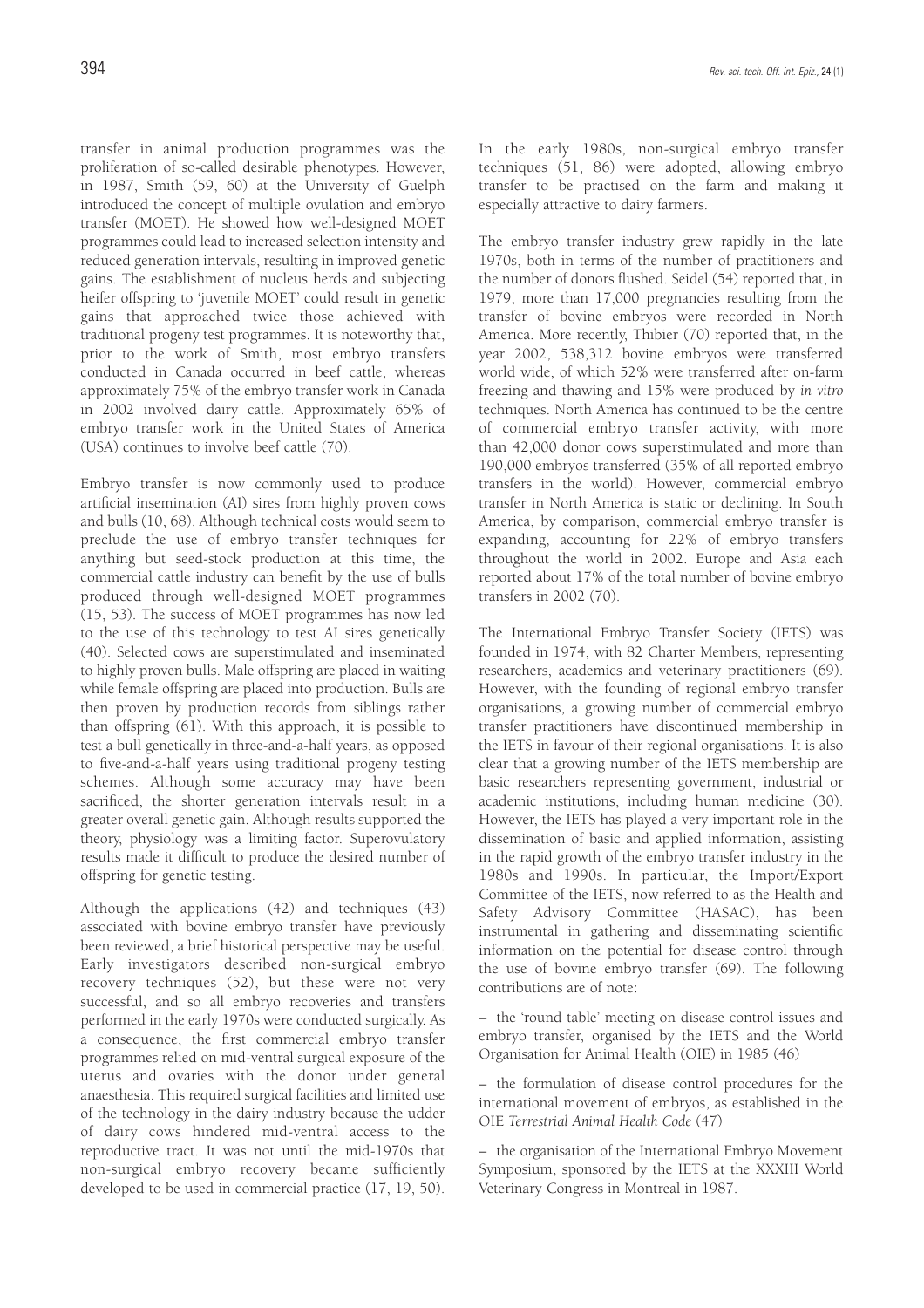transfer in animal production programmes was the proliferation of so-called desirable phenotypes. However, in 1987, Smith (59, 60) at the University of Guelph introduced the concept of multiple ovulation and embryo transfer (MOET). He showed how well-designed MOET programmes could lead to increased selection intensity and reduced generation intervals, resulting in improved genetic gains. The establishment of nucleus herds and subjecting heifer offspring to 'juvenile MOET' could result in genetic gains that approached twice those achieved with traditional progeny test programmes. It is noteworthy that, prior to the work of Smith, most embryo transfers conducted in Canada occurred in beef cattle, whereas approximately 75% of the embryo transfer work in Canada in 2002 involved dairy cattle. Approximately 65% of embryo transfer work in the United States of America (USA) continues to involve beef cattle (70).

Embryo transfer is now commonly used to produce artificial insemination (AI) sires from highly proven cows and bulls (10, 68). Although technical costs would seem to preclude the use of embryo transfer techniques for anything but seed-stock production at this time, the commercial cattle industry can benefit by the use of bulls produced through well-designed MOET programmes (15, 53). The success of MOET programmes has now led to the use of this technology to test AI sires genetically (40). Selected cows are superstimulated and inseminated to highly proven bulls. Male offspring are placed in waiting while female offspring are placed into production. Bulls are then proven by production records from siblings rather than offspring (61). With this approach, it is possible to test a bull genetically in three-and-a-half years, as opposed to five-and-a-half years using traditional progeny testing schemes. Although some accuracy may have been sacrificed, the shorter generation intervals result in a greater overall genetic gain. Although results supported the theory, physiology was a limiting factor. Superovulatory results made it difficult to produce the desired number of offspring for genetic testing.

Although the applications (42) and techniques (43) associated with bovine embryo transfer have previously been reviewed, a brief historical perspective may be useful. Early investigators described non-surgical embryo recovery techniques (52), but these were not very successful, and so all embryo recoveries and transfers performed in the early 1970s were conducted surgically. As a consequence, the first commercial embryo transfer programmes relied on mid-ventral surgical exposure of the uterus and ovaries with the donor under general anaesthesia. This required surgical facilities and limited use of the technology in the dairy industry because the udder of dairy cows hindered mid-ventral access to the reproductive tract. It was not until the mid-1970s that non-surgical embryo recovery became sufficiently developed to be used in commercial practice (17, 19, 50).

In the early 1980s, non-surgical embryo transfer techniques (51, 86) were adopted, allowing embryo transfer to be practised on the farm and making it especially attractive to dairy farmers.

The embryo transfer industry grew rapidly in the late 1970s, both in terms of the number of practitioners and the number of donors flushed. Seidel (54) reported that, in 1979, more than 17,000 pregnancies resulting from the transfer of bovine embryos were recorded in North America. More recently, Thibier (70) reported that, in the year 2002, 538,312 bovine embryos were transferred world wide, of which 52% were transferred after on-farm freezing and thawing and 15% were produced by *in vitro* techniques. North America has continued to be the centre of commercial embryo transfer activity, with more than 42,000 donor cows superstimulated and more than 190,000 embryos transferred (35% of all reported embryo transfers in the world). However, commercial embryo transfer in North America is static or declining. In South America, by comparison, commercial embryo transfer is expanding, accounting for 22% of embryo transfers throughout the world in 2002. Europe and Asia each reported about 17% of the total number of bovine embryo transfers in 2002 (70).

The International Embryo Transfer Society (IETS) was founded in 1974, with 82 Charter Members, representing researchers, academics and veterinary practitioners (69). However, with the founding of regional embryo transfer organisations, a growing number of commercial embryo transfer practitioners have discontinued membership in the IETS in favour of their regional organisations. It is also clear that a growing number of the IETS membership are basic researchers representing government, industrial or academic institutions, including human medicine (30). However, the IETS has played a very important role in the dissemination of basic and applied information, assisting in the rapid growth of the embryo transfer industry in the 1980s and 1990s. In particular, the Import/Export Committee of the IETS, now referred to as the Health and Safety Advisory Committee (HASAC), has been instrumental in gathering and disseminating scientific information on the potential for disease control through the use of bovine embryo transfer (69). The following contributions are of note:

– the 'round table' meeting on disease control issues and embryo transfer, organised by the IETS and the World Organisation for Animal Health (OIE) in 1985 (46)

– the formulation of disease control procedures for the international movement of embryos, as established in the OIE *Terrestrial Animal Health Code* (47)

– the organisation of the International Embryo Movement Symposium, sponsored by the IETS at the XXXIII World Veterinary Congress in Montreal in 1987.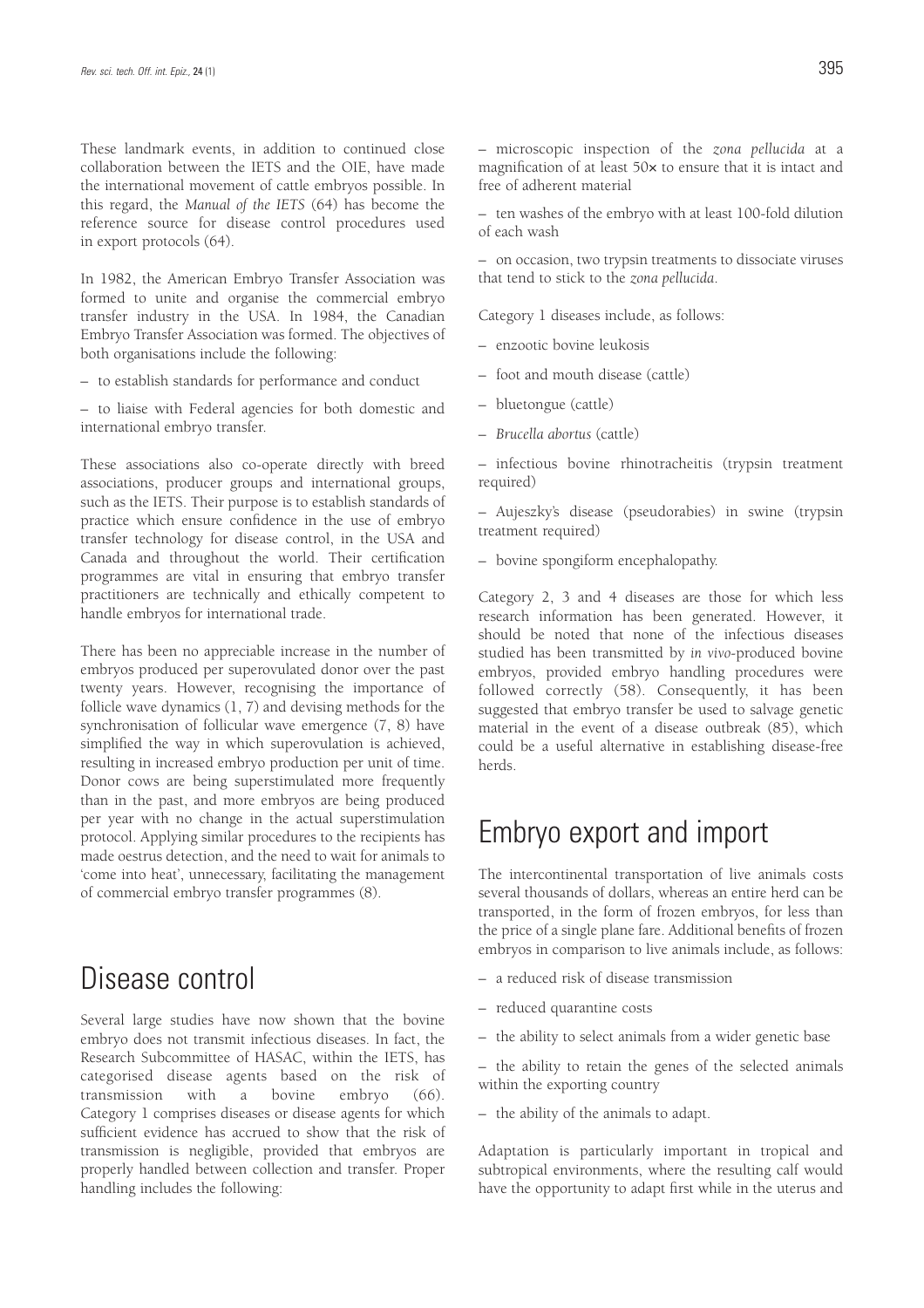These landmark events, in addition to continued close collaboration between the IETS and the OIE, have made the international movement of cattle embryos possible. In this regard, the *Manual of the IETS* (64) has become the reference source for disease control procedures used in export protocols (64).

In 1982, the American Embryo Transfer Association was formed to unite and organise the commercial embryo transfer industry in the USA. In 1984, the Canadian Embryo Transfer Association was formed. The objectives of both organisations include the following:

– to establish standards for performance and conduct

– to liaise with Federal agencies for both domestic and international embryo transfer.

These associations also co-operate directly with breed associations, producer groups and international groups, such as the IETS. Their purpose is to establish standards of practice which ensure confidence in the use of embryo transfer technology for disease control, in the USA and Canada and throughout the world. Their certification programmes are vital in ensuring that embryo transfer practitioners are technically and ethically competent to handle embryos for international trade.

There has been no appreciable increase in the number of embryos produced per superovulated donor over the past twenty years. However, recognising the importance of follicle wave dynamics (1, 7) and devising methods for the synchronisation of follicular wave emergence (7, 8) have simplified the way in which superovulation is achieved, resulting in increased embryo production per unit of time. Donor cows are being superstimulated more frequently than in the past, and more embryos are being produced per year with no change in the actual superstimulation protocol. Applying similar procedures to the recipients has made oestrus detection, and the need to wait for animals to 'come into heat', unnecessary, facilitating the management of commercial embryo transfer programmes (8).

### Disease control

Several large studies have now shown that the bovine embryo does not transmit infectious diseases. In fact, the Research Subcommittee of HASAC, within the IETS, has categorised disease agents based on the risk of transmission with a bovine embryo (66). Category 1 comprises diseases or disease agents for which sufficient evidence has accrued to show that the risk of transmission is negligible, provided that embryos are properly handled between collection and transfer. Proper handling includes the following:

– microscopic inspection of the *zona pellucida* at a magnification of at least 50× to ensure that it is intact and free of adherent material

– ten washes of the embryo with at least 100-fold dilution of each wash

– on occasion, two trypsin treatments to dissociate viruses that tend to stick to the *zona pellucida*.

Category 1 diseases include, as follows:

- enzootic bovine leukosis
- foot and mouth disease (cattle)
- bluetongue (cattle)
- *Brucella abortus* (cattle)

– infectious bovine rhinotracheitis (trypsin treatment required)

– Aujeszky's disease (pseudorabies) in swine (trypsin treatment required)

– bovine spongiform encephalopathy.

Category 2, 3 and 4 diseases are those for which less research information has been generated. However, it should be noted that none of the infectious diseases studied has been transmitted by *in vivo*-produced bovine embryos, provided embryo handling procedures were followed correctly (58). Consequently, it has been suggested that embryo transfer be used to salvage genetic material in the event of a disease outbreak (85), which could be a useful alternative in establishing disease-free herds.

#### Embryo export and import

The intercontinental transportation of live animals costs several thousands of dollars, whereas an entire herd can be transported, in the form of frozen embryos, for less than the price of a single plane fare. Additional benefits of frozen embryos in comparison to live animals include, as follows:

- a reduced risk of disease transmission
- reduced quarantine costs
- the ability to select animals from a wider genetic base

– the ability to retain the genes of the selected animals within the exporting country

– the ability of the animals to adapt.

Adaptation is particularly important in tropical and subtropical environments, where the resulting calf would have the opportunity to adapt first while in the uterus and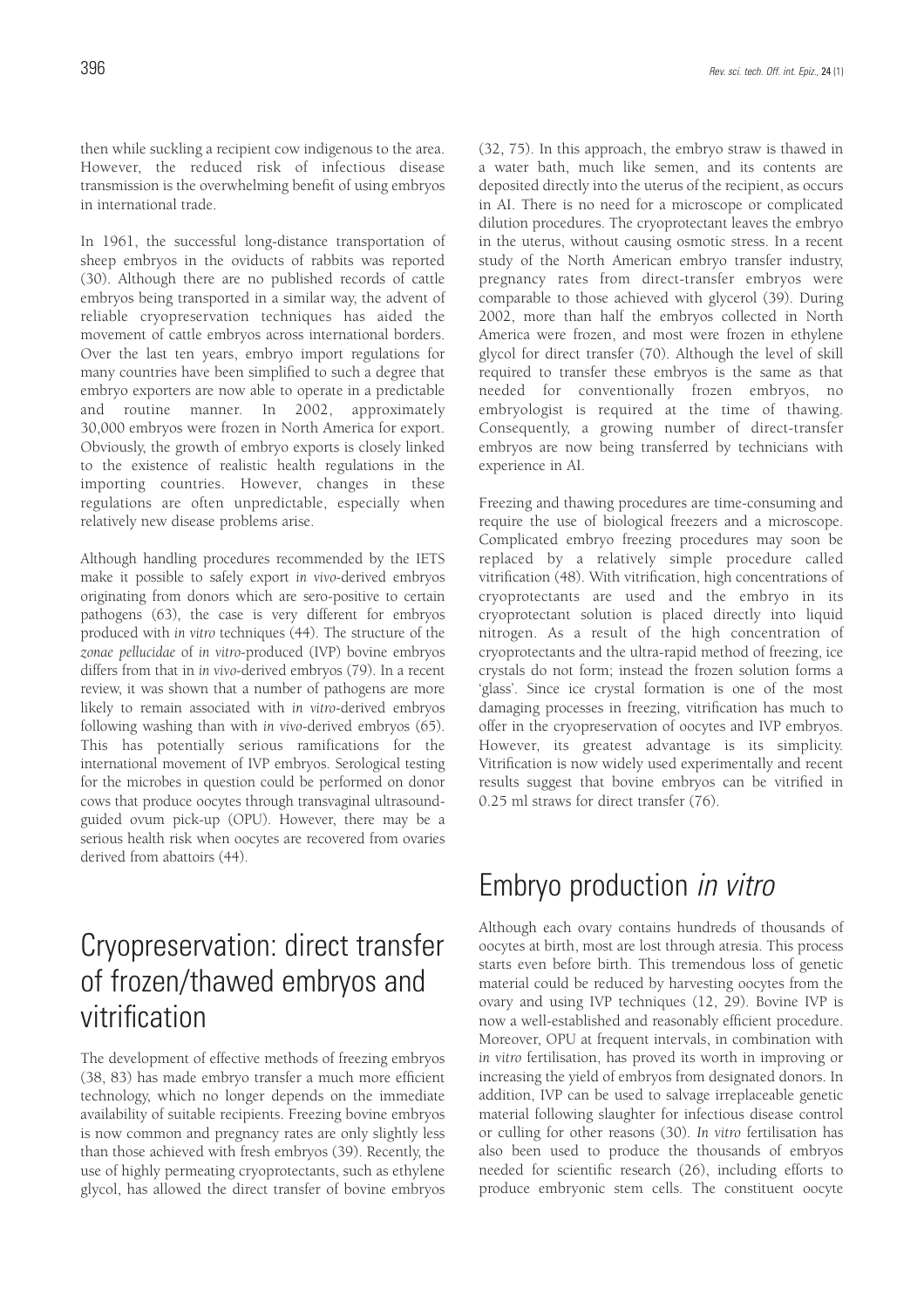then while suckling a recipient cow indigenous to the area. However, the reduced risk of infectious disease transmission is the overwhelming benefit of using embryos in international trade.

In 1961, the successful long-distance transportation of sheep embryos in the oviducts of rabbits was reported (30). Although there are no published records of cattle embryos being transported in a similar way, the advent of reliable cryopreservation techniques has aided the movement of cattle embryos across international borders. Over the last ten years, embryo import regulations for many countries have been simplified to such a degree that embryo exporters are now able to operate in a predictable and routine manner. In 2002, approximately 30,000 embryos were frozen in North America for export. Obviously, the growth of embryo exports is closely linked to the existence of realistic health regulations in the importing countries. However, changes in these regulations are often unpredictable, especially when relatively new disease problems arise.

Although handling procedures recommended by the IETS make it possible to safely export *in vivo*-derived embryos originating from donors which are sero-positive to certain pathogens (63), the case is very different for embryos produced with *in vitro* techniques (44). The structure of the *zonae pellucidae* of *in vitro*-produced (IVP) bovine embryos differs from that in *in vivo*-derived embryos (79). In a recent review, it was shown that a number of pathogens are more likely to remain associated with *in vitro*-derived embryos following washing than with *in vivo*-derived embryos (65). This has potentially serious ramifications for the international movement of IVP embryos. Serological testing for the microbes in question could be performed on donor cows that produce oocytes through transvaginal ultrasoundguided ovum pick-up (OPU). However, there may be a serious health risk when oocytes are recovered from ovaries derived from abattoirs (44).

# Cryopreservation: direct transfer of frozen/thawed embryos and vitrification

The development of effective methods of freezing embryos (38, 83) has made embryo transfer a much more efficient technology, which no longer depends on the immediate availability of suitable recipients. Freezing bovine embryos is now common and pregnancy rates are only slightly less than those achieved with fresh embryos (39). Recently, the use of highly permeating cryoprotectants, such as ethylene glycol, has allowed the direct transfer of bovine embryos (32, 75). In this approach, the embryo straw is thawed in a water bath, much like semen, and its contents are deposited directly into the uterus of the recipient, as occurs in AI. There is no need for a microscope or complicated dilution procedures. The cryoprotectant leaves the embryo in the uterus, without causing osmotic stress. In a recent study of the North American embryo transfer industry, pregnancy rates from direct-transfer embryos were comparable to those achieved with glycerol (39). During 2002, more than half the embryos collected in North America were frozen, and most were frozen in ethylene glycol for direct transfer (70). Although the level of skill required to transfer these embryos is the same as that needed for conventionally frozen embryos, no embryologist is required at the time of thawing. Consequently, a growing number of direct-transfer embryos are now being transferred by technicians with experience in AI.

Freezing and thawing procedures are time-consuming and require the use of biological freezers and a microscope. Complicated embryo freezing procedures may soon be replaced by a relatively simple procedure called vitrification (48). With vitrification, high concentrations of cryoprotectants are used and the embryo in its cryoprotectant solution is placed directly into liquid nitrogen. As a result of the high concentration of cryoprotectants and the ultra-rapid method of freezing, ice crystals do not form; instead the frozen solution forms a 'glass'. Since ice crystal formation is one of the most damaging processes in freezing, vitrification has much to offer in the cryopreservation of oocytes and IVP embryos. However, its greatest advantage is its simplicity. Vitrification is now widely used experimentally and recent results suggest that bovine embryos can be vitrified in 0.25 ml straws for direct transfer (76).

### Embryo production in vitro

Although each ovary contains hundreds of thousands of oocytes at birth, most are lost through atresia. This process starts even before birth. This tremendous loss of genetic material could be reduced by harvesting oocytes from the ovary and using IVP techniques (12, 29). Bovine IVP is now a well-established and reasonably efficient procedure. Moreover, OPU at frequent intervals, in combination with *in vitro* fertilisation, has proved its worth in improving or increasing the yield of embryos from designated donors. In addition, IVP can be used to salvage irreplaceable genetic material following slaughter for infectious disease control or culling for other reasons (30). *In vitro* fertilisation has also been used to produce the thousands of embryos needed for scientific research (26), including efforts to produce embryonic stem cells. The constituent oocyte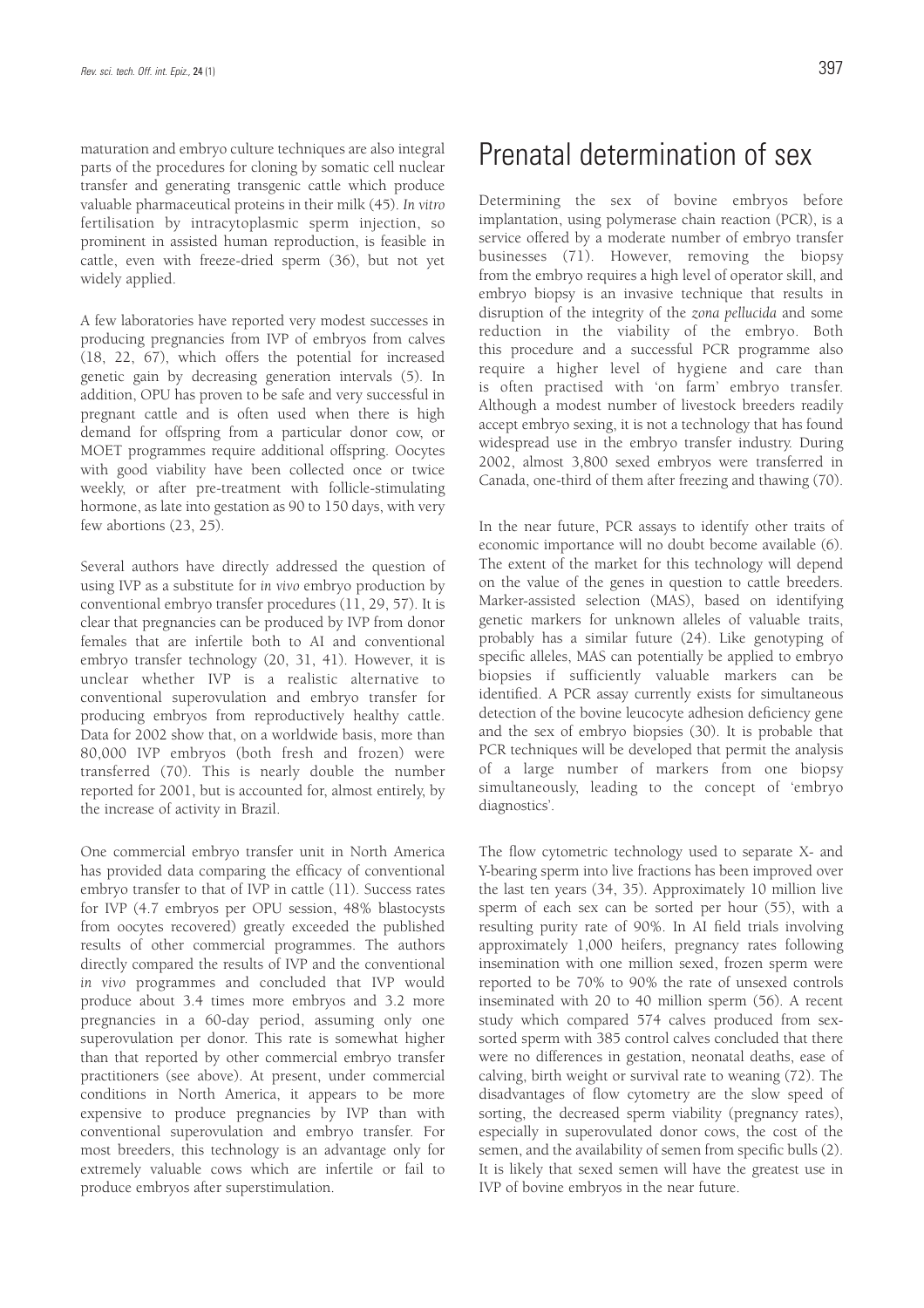maturation and embryo culture techniques are also integral parts of the procedures for cloning by somatic cell nuclear transfer and generating transgenic cattle which produce valuable pharmaceutical proteins in their milk (45). *In vitro* fertilisation by intracytoplasmic sperm injection, so prominent in assisted human reproduction, is feasible in cattle, even with freeze-dried sperm (36), but not yet widely applied.

A few laboratories have reported very modest successes in producing pregnancies from IVP of embryos from calves (18, 22, 67), which offers the potential for increased genetic gain by decreasing generation intervals (5). In addition, OPU has proven to be safe and very successful in pregnant cattle and is often used when there is high demand for offspring from a particular donor cow, or MOET programmes require additional offspring. Oocytes with good viability have been collected once or twice weekly, or after pre-treatment with follicle-stimulating hormone, as late into gestation as 90 to 150 days, with very few abortions (23, 25).

Several authors have directly addressed the question of using IVP as a substitute for *in vivo* embryo production by conventional embryo transfer procedures (11, 29, 57). It is clear that pregnancies can be produced by IVP from donor females that are infertile both to AI and conventional embryo transfer technology (20, 31, 41). However, it is unclear whether IVP is a realistic alternative to conventional superovulation and embryo transfer for producing embryos from reproductively healthy cattle. Data for 2002 show that, on a worldwide basis, more than 80,000 IVP embryos (both fresh and frozen) were transferred (70). This is nearly double the number reported for 2001, but is accounted for, almost entirely, by the increase of activity in Brazil.

One commercial embryo transfer unit in North America has provided data comparing the efficacy of conventional embryo transfer to that of IVP in cattle (11). Success rates for IVP (4.7 embryos per OPU session, 48% blastocysts from oocytes recovered) greatly exceeded the published results of other commercial programmes. The authors directly compared the results of IVP and the conventional *in vivo* programmes and concluded that IVP would produce about 3.4 times more embryos and 3.2 more pregnancies in a 60-day period, assuming only one superovulation per donor. This rate is somewhat higher than that reported by other commercial embryo transfer practitioners (see above). At present, under commercial conditions in North America, it appears to be more expensive to produce pregnancies by IVP than with conventional superovulation and embryo transfer. For most breeders, this technology is an advantage only for extremely valuable cows which are infertile or fail to produce embryos after superstimulation.

### Prenatal determination of sex

Determining the sex of bovine embryos before implantation, using polymerase chain reaction (PCR), is a service offered by a moderate number of embryo transfer businesses (71). However, removing the biopsy from the embryo requires a high level of operator skill, and embryo biopsy is an invasive technique that results in disruption of the integrity of the *zona pellucida* and some reduction in the viability of the embryo. Both this procedure and a successful PCR programme also require a higher level of hygiene and care than is often practised with 'on farm' embryo transfer. Although a modest number of livestock breeders readily accept embryo sexing, it is not a technology that has found widespread use in the embryo transfer industry. During 2002, almost 3,800 sexed embryos were transferred in Canada, one-third of them after freezing and thawing (70).

In the near future, PCR assays to identify other traits of economic importance will no doubt become available (6). The extent of the market for this technology will depend on the value of the genes in question to cattle breeders. Marker-assisted selection (MAS), based on identifying genetic markers for unknown alleles of valuable traits, probably has a similar future (24). Like genotyping of specific alleles, MAS can potentially be applied to embryo biopsies if sufficiently valuable markers can be identified. A PCR assay currently exists for simultaneous detection of the bovine leucocyte adhesion deficiency gene and the sex of embryo biopsies (30). It is probable that PCR techniques will be developed that permit the analysis of a large number of markers from one biopsy simultaneously, leading to the concept of 'embryo diagnostics'.

The flow cytometric technology used to separate X- and Y-bearing sperm into live fractions has been improved over the last ten years (34, 35). Approximately 10 million live sperm of each sex can be sorted per hour (55), with a resulting purity rate of 90%. In AI field trials involving approximately 1,000 heifers, pregnancy rates following insemination with one million sexed, frozen sperm were reported to be 70% to 90% the rate of unsexed controls inseminated with 20 to 40 million sperm (56). A recent study which compared 574 calves produced from sexsorted sperm with 385 control calves concluded that there were no differences in gestation, neonatal deaths, ease of calving, birth weight or survival rate to weaning (72). The disadvantages of flow cytometry are the slow speed of sorting, the decreased sperm viability (pregnancy rates), especially in superovulated donor cows, the cost of the semen, and the availability of semen from specific bulls (2). It is likely that sexed semen will have the greatest use in IVP of bovine embryos in the near future.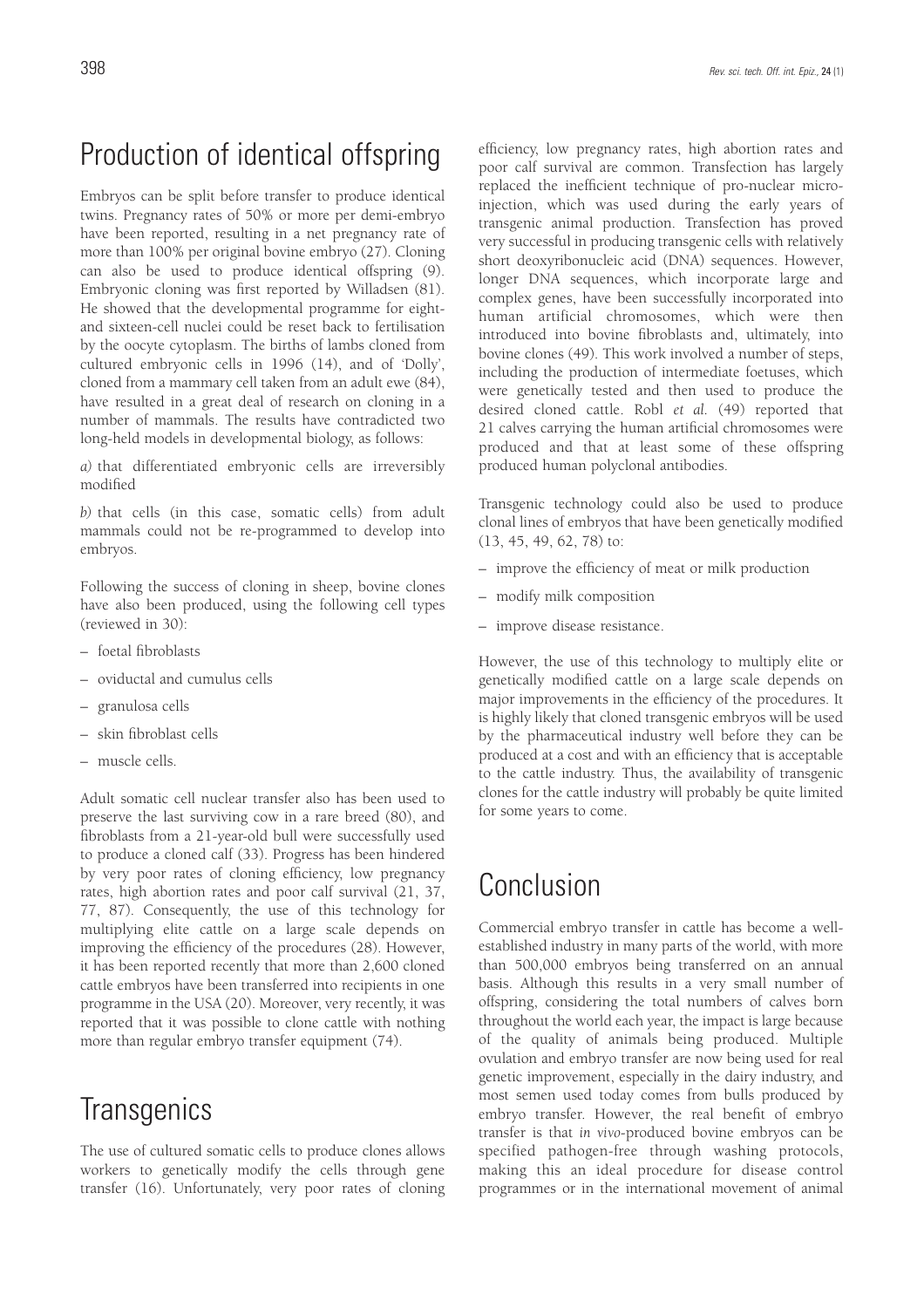# Production of identical offspring

Embryos can be split before transfer to produce identical twins. Pregnancy rates of 50% or more per demi-embryo have been reported, resulting in a net pregnancy rate of more than 100% per original bovine embryo (27). Cloning can also be used to produce identical offspring (9). Embryonic cloning was first reported by Willadsen (81). He showed that the developmental programme for eightand sixteen-cell nuclei could be reset back to fertilisation by the oocyte cytoplasm. The births of lambs cloned from cultured embryonic cells in 1996 (14), and of 'Dolly', cloned from a mammary cell taken from an adult ewe (84), have resulted in a great deal of research on cloning in a number of mammals. The results have contradicted two long-held models in developmental biology, as follows:

*a)* that differentiated embryonic cells are irreversibly modified

*b)* that cells (in this case, somatic cells) from adult mammals could not be re-programmed to develop into embryos.

Following the success of cloning in sheep, bovine clones have also been produced, using the following cell types (reviewed in 30):

- foetal fibroblasts
- oviductal and cumulus cells
- granulosa cells
- skin fibroblast cells
- muscle cells.

Adult somatic cell nuclear transfer also has been used to preserve the last surviving cow in a rare breed (80), and fibroblasts from a 21-year-old bull were successfully used to produce a cloned calf (33). Progress has been hindered by very poor rates of cloning efficiency, low pregnancy rates, high abortion rates and poor calf survival (21, 37, 77, 87). Consequently, the use of this technology for multiplying elite cattle on a large scale depends on improving the efficiency of the procedures (28). However, it has been reported recently that more than 2,600 cloned cattle embryos have been transferred into recipients in one programme in the USA (20). Moreover, very recently, it was reported that it was possible to clone cattle with nothing more than regular embryo transfer equipment (74).

## **Transgenics**

The use of cultured somatic cells to produce clones allows workers to genetically modify the cells through gene transfer (16). Unfortunately, very poor rates of cloning efficiency, low pregnancy rates, high abortion rates and poor calf survival are common. Transfection has largely replaced the inefficient technique of pro-nuclear microinjection, which was used during the early years of transgenic animal production. Transfection has proved very successful in producing transgenic cells with relatively short deoxyribonucleic acid (DNA) sequences. However, longer DNA sequences, which incorporate large and complex genes, have been successfully incorporated into human artificial chromosomes, which were then introduced into bovine fibroblasts and, ultimately, into bovine clones (49). This work involved a number of steps, including the production of intermediate foetuses, which were genetically tested and then used to produce the desired cloned cattle. Robl *et al.* (49) reported that 21 calves carrying the human artificial chromosomes were produced and that at least some of these offspring produced human polyclonal antibodies.

Transgenic technology could also be used to produce clonal lines of embryos that have been genetically modified (13, 45, 49, 62, 78) to:

- improve the efficiency of meat or milk production
- modify milk composition
- improve disease resistance.

However, the use of this technology to multiply elite or genetically modified cattle on a large scale depends on major improvements in the efficiency of the procedures. It is highly likely that cloned transgenic embryos will be used by the pharmaceutical industry well before they can be produced at a cost and with an efficiency that is acceptable to the cattle industry. Thus, the availability of transgenic clones for the cattle industry will probably be quite limited for some years to come.

### Conclusion

Commercial embryo transfer in cattle has become a wellestablished industry in many parts of the world, with more than 500,000 embryos being transferred on an annual basis. Although this results in a very small number of offspring, considering the total numbers of calves born throughout the world each year, the impact is large because of the quality of animals being produced. Multiple ovulation and embryo transfer are now being used for real genetic improvement, especially in the dairy industry, and most semen used today comes from bulls produced by embryo transfer. However, the real benefit of embryo transfer is that *in vivo*-produced bovine embryos can be specified pathogen-free through washing protocols, making this an ideal procedure for disease control programmes or in the international movement of animal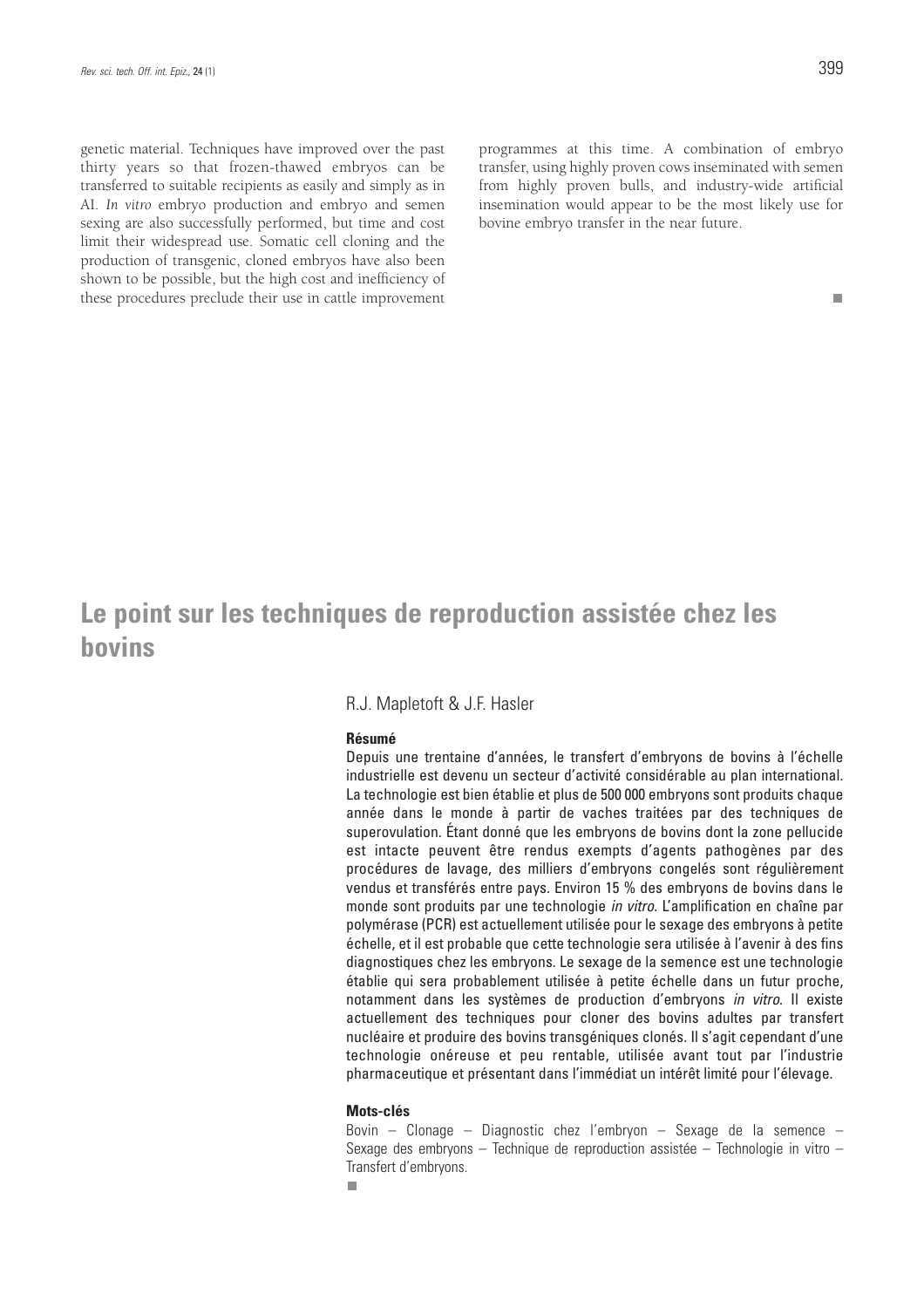genetic material. Techniques have improved over the past thirty years so that frozen-thawed embryos can be transferred to suitable recipients as easily and simply as in AI. *In vitro* embryo production and embryo and semen sexing are also successfully performed, but time and cost limit their widespread use. Somatic cell cloning and the production of transgenic, cloned embryos have also been shown to be possible, but the high cost and inefficiency of these procedures preclude their use in cattle improvement programmes at this time. A combination of embryo transfer, using highly proven cows inseminated with semen from highly proven bulls, and industry-wide artificial insemination would appear to be the most likely use for bovine embryo transfer in the near future.

#### m.

### **Le point sur les techniques de reproduction assistée chez les bovins**

#### R.J. Mapletoft & J.F. Hasler

#### **Résumé**

Depuis une trentaine d'années, le transfert d'embryons de bovins à l'échelle industrielle est devenu un secteur d'activité considérable au plan international. La technologie est bien établie et plus de 500 000 embryons sont produits chaque année dans le monde à partir de vaches traitées par des techniques de superovulation. Étant donné que les embryons de bovins dont la zone pellucide est intacte peuvent être rendus exempts d'agents pathogènes par des procédures de lavage, des milliers d'embryons congelés sont régulièrement vendus et transférés entre pays. Environ 15 % des embryons de bovins dans le monde sont produits par une technologie in vitro. L'amplification en chaîne par polymérase (PCR) est actuellement utilisée pour le sexage des embryons à petite échelle, et il est probable que cette technologie sera utilisée à l'avenir à des fins diagnostiques chez les embryons. Le sexage de la semence est une technologie établie qui sera probablement utilisée à petite échelle dans un futur proche, notamment dans les systèmes de production d'embryons in vitro. Il existe actuellement des techniques pour cloner des bovins adultes par transfert nucléaire et produire des bovins transgéniques clonés. Il s'agit cependant d'une technologie onéreuse et peu rentable, utilisée avant tout par l'industrie pharmaceutique et présentant dans l'immédiat un intérêt limité pour l'élevage.

#### **Mots-clés**

Bovin – Clonage – Diagnostic chez l'embryon – Sexage de la semence – Sexage des embryons – Technique de reproduction assistée – Technologie in vitro – Transfert d'embryons.п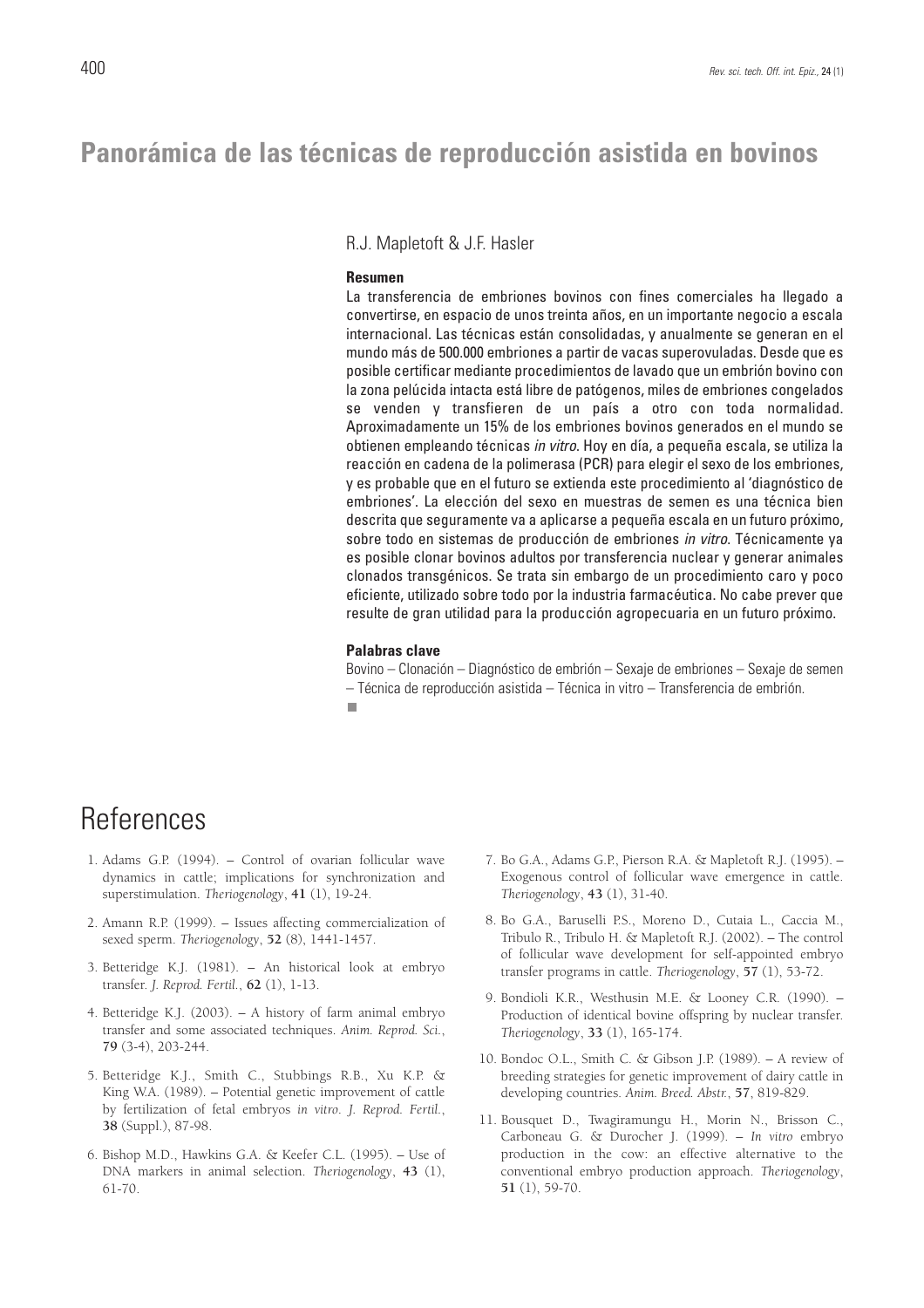### **Panorámica de las técnicas de reproducción asistida en bovinos**

R.J. Mapletoft & J.F. Hasler

#### **Resumen**

La transferencia de embriones bovinos con fines comerciales ha llegado a convertirse, en espacio de unos treinta años, en un importante negocio a escala internacional. Las técnicas están consolidadas, y anualmente se generan en el mundo más de 500.000 embriones a partir de vacas superovuladas. Desde que es posible certificar mediante procedimientos de lavado que un embrión bovino con la zona pelúcida intacta está libre de patógenos, miles de embriones congelados se venden y transfieren de un país a otro con toda normalidad. Aproximadamente un 15% de los embriones bovinos generados en el mundo se obtienen empleando técnicas in vitro. Hoy en día, a pequeña escala, se utiliza la reacción en cadena de la polimerasa (PCR) para elegir el sexo de los embriones, y es probable que en el futuro se extienda este procedimiento al 'diagnóstico de embriones'. La elección del sexo en muestras de semen es una técnica bien descrita que seguramente va a aplicarse a pequeña escala en un futuro próximo, sobre todo en sistemas de producción de embriones in vitro. Técnicamente ya es posible clonar bovinos adultos por transferencia nuclear y generar animales clonados transgénicos. Se trata sin embargo de un procedimiento caro y poco eficiente, utilizado sobre todo por la industria farmacéutica. No cabe prever que resulte de gran utilidad para la producción agropecuaria en un futuro próximo.

#### **Palabras clave**

Bovino – Clonación – Diagnóstico de embrión – Sexaje de embriones – Sexaje de semen – Técnica de reproducción asistida – Técnica in vitro – Transferencia de embrión.

### **References**

- 1. Adams G.P. (1994). Control of ovarian follicular wave dynamics in cattle; implications for synchronization and superstimulation. *Theriogenology*, **41** (1), 19-24.
- 2. Amann R.P. (1999). Issues affecting commercialization of sexed sperm. *Theriogenology*, **52** (8), 1441-1457.
- 3. Betteridge K.J. (1981). An historical look at embryo transfer. *J. Reprod. Fertil.*, **62** (1), 1-13.
- 4. Betteridge K.J. (2003). A history of farm animal embryo transfer and some associated techniques. *Anim. Reprod. Sci.*, **79** (3-4), 203-244.
- 5. Betteridge K.J., Smith C., Stubbings R.B., Xu K.P. & King W.A. (1989). – Potential genetic improvement of cattle by fertilization of fetal embryos *in vitro*. *J. Reprod. Fertil.*, **38** (Suppl.), 87-98.
- 6. Bishop M.D., Hawkins G.A. & Keefer C.L. (1995). Use of DNA markers in animal selection. *Theriogenology*, **43** (1), 61-70.
- 7. Bo G.A., Adams G.P., Pierson R.A. & Mapletoft R.J. (1995). Exogenous control of follicular wave emergence in cattle. *Theriogenology*, **43** (1), 31-40.
- 8. Bo G.A., Baruselli P.S., Moreno D., Cutaia L., Caccia M., Tribulo R., Tribulo H. & Mapletoft R.J. (2002). – The control of follicular wave development for self-appointed embryo transfer programs in cattle. *Theriogenology*, **57** (1), 53-72.
- 9. Bondioli K.R., Westhusin M.E. & Looney C.R. (1990). Production of identical bovine offspring by nuclear transfer. *Theriogenology*, **33** (1), 165-174.
- 10. Bondoc O.L., Smith C. & Gibson J.P. (1989). A review of breeding strategies for genetic improvement of dairy cattle in developing countries. *Anim. Breed. Abstr.*, **57**, 819-829.
- 11. Bousquet D., Twagiramungu H., Morin N., Brisson C., Carboneau G. & Durocher J. (1999). – *In vitro* embryo production in the cow: an effective alternative to the conventional embryo production approach. *Theriogenology*, **51** (1), 59-70.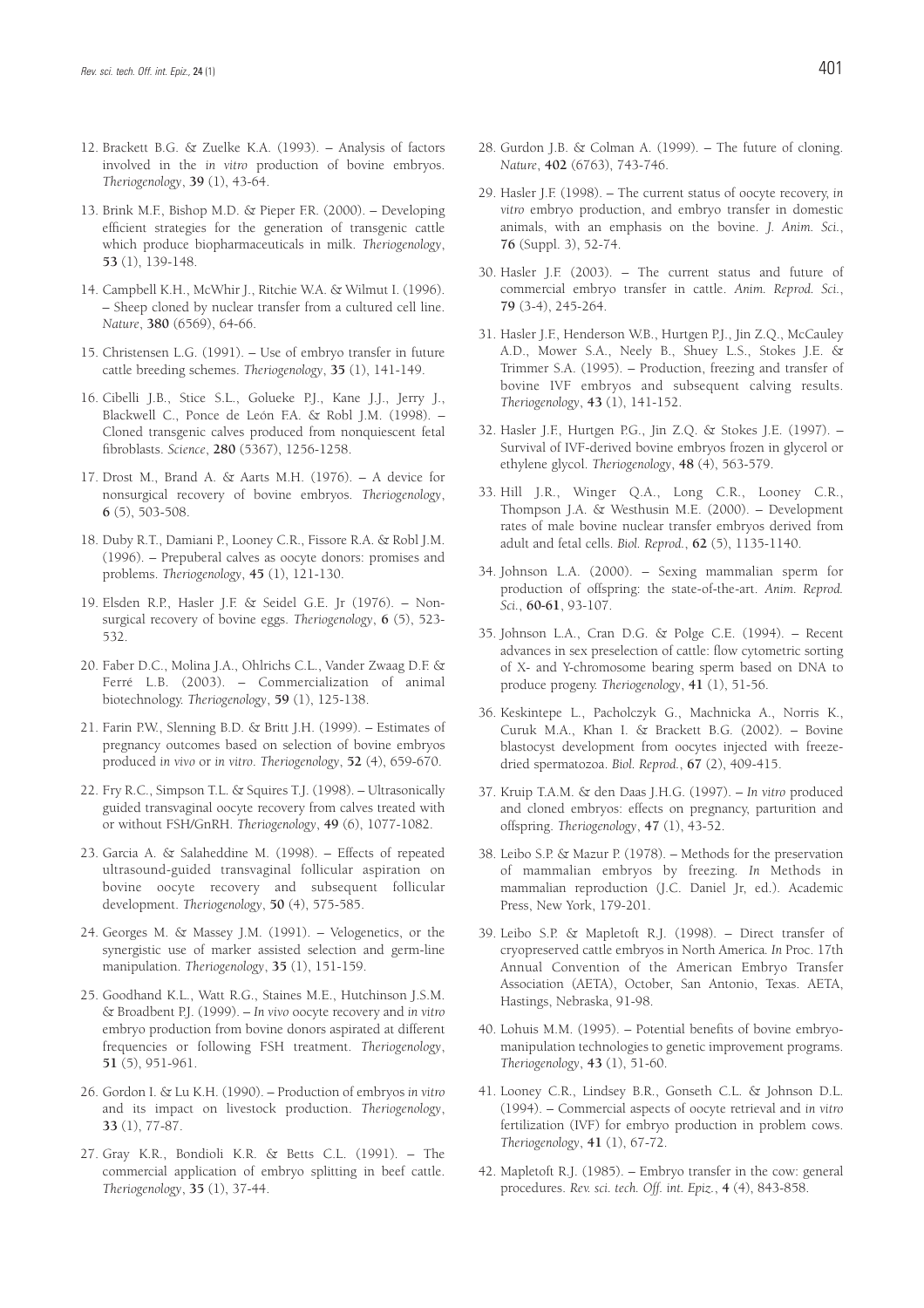- 12. Brackett B.G. & Zuelke K.A. (1993). Analysis of factors involved in the *in vitro* production of bovine embryos. *Theriogenology*, **39** (1), 43-64.
- 13. Brink M.F., Bishop M.D. & Pieper F.R. (2000). Developing efficient strategies for the generation of transgenic cattle which produce biopharmaceuticals in milk. *Theriogenology*, **53** (1), 139-148.
- 14. Campbell K.H., McWhir J., Ritchie W.A. & Wilmut I. (1996). – Sheep cloned by nuclear transfer from a cultured cell line. *Nature*, **380** (6569), 64-66.
- 15. Christensen L.G. (1991). Use of embryo transfer in future cattle breeding schemes. *Theriogenology*, **35** (1), 141-149.
- 16. Cibelli J.B., Stice S.L., Golueke P.J., Kane J.J., Jerry J., Blackwell C., Ponce de León F.A. & Robl J.M. (1998). – Cloned transgenic calves produced from nonquiescent fetal fibroblasts. *Science*, **280** (5367), 1256-1258.
- 17. Drost M., Brand A. & Aarts M.H. (1976). A device for nonsurgical recovery of bovine embryos. *Theriogenology*, **6** (5), 503-508.
- 18. Duby R.T., Damiani P., Looney C.R., Fissore R.A. & Robl J.M. (1996). – Prepuberal calves as oocyte donors: promises and problems. *Theriogenology*, **45** (1), 121-130.
- 19. Elsden R.P., Hasler J.F. & Seidel G.E. Jr (1976). Nonsurgical recovery of bovine eggs. *Theriogenology*, **6** (5), 523- 532.
- 20. Faber D.C., Molina J.A., Ohlrichs C.L., Vander Zwaag D.F. & Ferré L.B. (2003). – Commercialization of animal biotechnology. *Theriogenology*, **59** (1), 125-138.
- 21. Farin P.W., Slenning B.D. & Britt J.H. (1999). Estimates of pregnancy outcomes based on selection of bovine embryos produced *in vivo* or *in vitro*. *Theriogenology*, **52** (4), 659-670.
- 22. Fry R.C., Simpson T.L. & Squires T.J. (1998). Ultrasonically guided transvaginal oocyte recovery from calves treated with or without FSH/GnRH. *Theriogenology*, **49** (6), 1077-1082.
- 23. Garcia A. & Salaheddine M. (1998). Effects of repeated ultrasound-guided transvaginal follicular aspiration on bovine oocyte recovery and subsequent follicular development. *Theriogenology*, **50** (4), 575-585.
- 24. Georges M. & Massey J.M. (1991). Velogenetics, or the synergistic use of marker assisted selection and germ-line manipulation. *Theriogenology*, **35** (1), 151-159.
- 25. Goodhand K.L., Watt R.G., Staines M.E., Hutchinson J.S.M. & Broadbent P.J. (1999). – *In vivo* oocyte recovery and *in vitro* embryo production from bovine donors aspirated at different frequencies or following FSH treatment. *Theriogenology*, **51** (5), 951-961.
- 26. Gordon I. & Lu K.H. (1990). Production of embryos *in vitro* and its impact on livestock production. *Theriogenology*, **33** (1), 77-87.
- 27. Gray K.R., Bondioli K.R. & Betts C.L. (1991). The commercial application of embryo splitting in beef cattle. *Theriogenology*, **35** (1), 37-44.
- 28. Gurdon J.B. & Colman A. (1999). The future of cloning. *Nature*, **402** (6763), 743-746.
- 29. Hasler J.F. (1998). The current status of oocyte recovery, *in vitro* embryo production, and embryo transfer in domestic animals, with an emphasis on the bovine. *J. Anim. Sci.*, **76** (Suppl. 3), 52-74.
- 30. Hasler J.F. (2003). The current status and future of commercial embryo transfer in cattle. *Anim. Reprod. Sci.*, **79** (3-4), 245-264.
- 31. Hasler J.F., Henderson W.B., Hurtgen P.J., Jin Z.Q., McCauley A.D., Mower S.A., Neely B., Shuey L.S., Stokes J.E. & Trimmer S.A. (1995). – Production, freezing and transfer of bovine IVF embryos and subsequent calving results. *Theriogenology*, **43** (1), 141-152.
- 32. Hasler J.F., Hurtgen P.G., Jin Z.Q. & Stokes J.E. (1997). Survival of IVF-derived bovine embryos frozen in glycerol or ethylene glycol. *Theriogenology*, **48** (4), 563-579.
- 33. Hill J.R., Winger Q.A., Long C.R., Looney C.R., Thompson J.A. & Westhusin M.E. (2000). – Development rates of male bovine nuclear transfer embryos derived from adult and fetal cells. *Biol. Reprod.*, **62** (5), 1135-1140.
- 34. Johnson L.A. (2000). Sexing mammalian sperm for production of offspring: the state-of-the-art. *Anim. Reprod. Sci.*, **60-61**, 93-107.
- 35. Johnson L.A., Cran D.G. & Polge C.E. (1994). Recent advances in sex preselection of cattle: flow cytometric sorting of X- and Y-chromosome bearing sperm based on DNA to produce progeny. *Theriogenology*, **41** (1), 51-56.
- 36. Keskintepe L., Pacholczyk G., Machnicka A., Norris K., Curuk M.A., Khan I. & Brackett B.G. (2002). – Bovine blastocyst development from oocytes injected with freezedried spermatozoa. *Biol. Reprod.*, **67** (2), 409-415.
- 37. Kruip T.A.M. & den Daas J.H.G. (1997). *In vitro* produced and cloned embryos: effects on pregnancy, parturition and offspring. *Theriogenology*, **47** (1), 43-52.
- 38. Leibo S.P. & Mazur P. (1978). Methods for the preservation of mammalian embryos by freezing*. In* Methods in mammalian reproduction (J.C. Daniel Jr, ed.). Academic Press, New York, 179-201.
- 39. Leibo S.P. & Mapletoft R.J. (1998). Direct transfer of cryopreserved cattle embryos in North America*. In* Proc. 17th Annual Convention of the American Embryo Transfer Association (AETA), October, San Antonio, Texas. AETA, Hastings, Nebraska, 91-98.
- 40. Lohuis M.M. (1995). Potential benefits of bovine embryomanipulation technologies to genetic improvement programs. *Theriogenology*, **43** (1), 51-60.
- 41. Looney C.R., Lindsey B.R., Gonseth C.L. & Johnson D.L. (1994). – Commercial aspects of oocyte retrieval and *in vitro* fertilization (IVF) for embryo production in problem cows. *Theriogenology*, **41** (1), 67-72.
- 42. Mapletoft R.J. (1985). Embryo transfer in the cow: general procedures. *Rev. sci. tech. Off. int. Epiz.*, **4** (4), 843-858.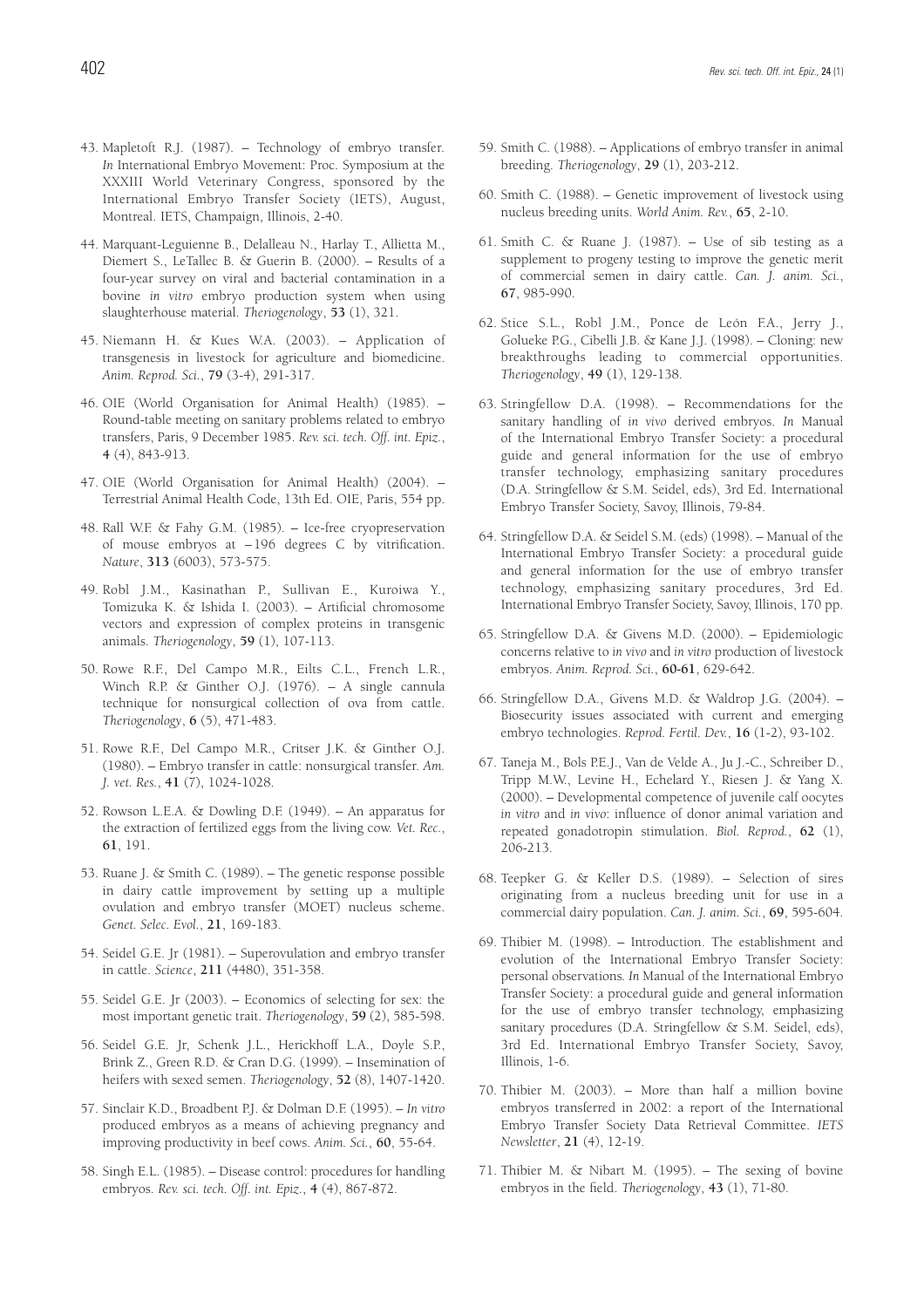- 43. Mapletoft R.J. (1987). Technology of embryo transfer*. In* International Embryo Movement: Proc. Symposium at the XXXIII World Veterinary Congress, sponsored by the International Embryo Transfer Society (IETS), August, Montreal. IETS, Champaign, Illinois, 2-40.
- 44. Marquant-Leguienne B., Delalleau N., Harlay T., Allietta M., Diemert S., LeTallec B. & Guerin B. (2000). – Results of a four-year survey on viral and bacterial contamination in a bovine *in vitro* embryo production system when using slaughterhouse material. *Theriogenology*, **53** (1), 321.
- 45. Niemann H. & Kues W.A. (2003). Application of transgenesis in livestock for agriculture and biomedicine. *Anim. Reprod. Sci.*, **79** (3-4), 291-317.
- 46. OIE (World Organisation for Animal Health) (1985). Round-table meeting on sanitary problems related to embryo transfers, Paris, 9 December 1985. *Rev. sci. tech. Off. int. Epiz.*, **4** (4), 843-913.
- 47. OIE (World Organisation for Animal Health) (2004). Terrestrial Animal Health Code, 13th Ed. OIE, Paris, 554 pp.
- 48. Rall W.F. & Fahy G.M. (1985). Ice-free cryopreservation of mouse embryos at – 196 degrees C by vitrification. *Nature*, **313** (6003), 573-575.
- 49. Robl J.M., Kasinathan P., Sullivan E., Kuroiwa Y., Tomizuka K. & Ishida I. (2003). – Artificial chromosome vectors and expression of complex proteins in transgenic animals. *Theriogenology*, **59** (1), 107-113.
- 50. Rowe R.F., Del Campo M.R., Eilts C.L., French L.R., Winch R.P. & Ginther O.J. (1976). – A single cannula technique for nonsurgical collection of ova from cattle. *Theriogenology*, **6** (5), 471-483.
- 51. Rowe R.F., Del Campo M.R., Critser J.K. & Ginther O.J. (1980). – Embryo transfer in cattle: nonsurgical transfer. *Am. J. vet. Res.*, **41** (7), 1024-1028.
- 52. Rowson L.E.A. & Dowling D.F. (1949). An apparatus for the extraction of fertilized eggs from the living cow. *Vet. Rec.*, **61**, 191.
- 53. Ruane J. & Smith C. (1989). The genetic response possible in dairy cattle improvement by setting up a multiple ovulation and embryo transfer (MOET) nucleus scheme. *Genet. Selec. Evol.*, **21**, 169-183.
- 54. Seidel G.E. Jr (1981). Superovulation and embryo transfer in cattle. *Science*, **211** (4480), 351-358.
- 55. Seidel G.E. Jr (2003). Economics of selecting for sex: the most important genetic trait. *Theriogenology*, **59** (2), 585-598.
- 56. Seidel G.E. Jr, Schenk J.L., Herickhoff L.A., Doyle S.P., Brink Z., Green R.D. & Cran D.G. (1999). – Insemination of heifers with sexed semen. *Theriogenology*, **52** (8), 1407-1420.
- 57. Sinclair K.D., Broadbent P.J. & Dolman D.F. (1995). *In vitro* produced embryos as a means of achieving pregnancy and improving productivity in beef cows. *Anim. Sci.*, **60**, 55-64.
- 58. Singh E.L. (1985). Disease control: procedures for handling embryos. *Rev. sci. tech. Off. int. Epiz.*, **4** (4), 867-872.
- 59. Smith C. (1988). Applications of embryo transfer in animal breeding. *Theriogenology*, **29** (1), 203-212.
- 60. Smith C. (1988). Genetic improvement of livestock using nucleus breeding units. *World Anim. Rev.*, **65**, 2-10.
- 61. Smith C. & Ruane J. (1987).  $-$  Use of sib testing as a supplement to progeny testing to improve the genetic merit of commercial semen in dairy cattle. *Can. J. anim. Sci.*, **67**, 985-990.
- 62. Stice S.L., Robl J.M., Ponce de León F.A., Jerry J., Golueke P.G., Cibelli J.B. & Kane J.J. (1998). – Cloning: new breakthroughs leading to commercial opportunities. *Theriogenology*, **49** (1), 129-138.
- 63. Stringfellow D.A. (1998). Recommendations for the sanitary handling of *in vivo* derived embryos. *In* Manual of the International Embryo Transfer Society: a procedural guide and general information for the use of embryo transfer technology, emphasizing sanitary procedures (D.A. Stringfellow & S.M. Seidel, eds), 3rd Ed. International Embryo Transfer Society, Savoy, Illinois, 79-84.
- 64. Stringfellow D.A. & Seidel S.M. (eds) (1998). Manual of the International Embryo Transfer Society: a procedural guide and general information for the use of embryo transfer technology, emphasizing sanitary procedures, 3rd Ed. International Embryo Transfer Society, Savoy, Illinois, 170 pp.
- 65. Stringfellow D.A. & Givens M.D. (2000). Epidemiologic concerns relative to *in vivo* and *in vitro* production of livestock embryos. *Anim. Reprod. Sci.*, **60-61**, 629-642.
- 66. Stringfellow D.A., Givens M.D. & Waldrop J.G. (2004). Biosecurity issues associated with current and emerging embryo technologies. *Reprod. Fertil. Dev.*, **16** (1-2), 93-102.
- 67. Taneja M., Bols P.E.J., Van de Velde A., Ju J.-C., Schreiber D., Tripp M.W., Levine H., Echelard Y., Riesen J. & Yang X. (2000). – Developmental competence of juvenile calf oocytes *in vitro* and *in vivo*: influence of donor animal variation and repeated gonadotropin stimulation. *Biol. Reprod.*, **62** (1), 206-213.
- 68. Teepker G. & Keller D.S. (1989). Selection of sires originating from a nucleus breeding unit for use in a commercial dairy population. *Can. J. anim. Sci.*, **69**, 595-604.
- 69. Thibier M. (1998). Introduction. The establishment and evolution of the International Embryo Transfer Society: personal observations*. In* Manual of the International Embryo Transfer Society: a procedural guide and general information for the use of embryo transfer technology, emphasizing sanitary procedures (D.A. Stringfellow & S.M. Seidel, eds), 3rd Ed. International Embryo Transfer Society, Savoy, Illinois, 1-6.
- 70. Thibier M. (2003). More than half a million bovine embryos transferred in 2002: a report of the International Embryo Transfer Society Data Retrieval Committee. *IETS Newsletter*, **21** (4), 12-19.
- 71. Thibier M. & Nibart M. (1995). The sexing of bovine embryos in the field. *Theriogenology*, **43** (1), 71-80.